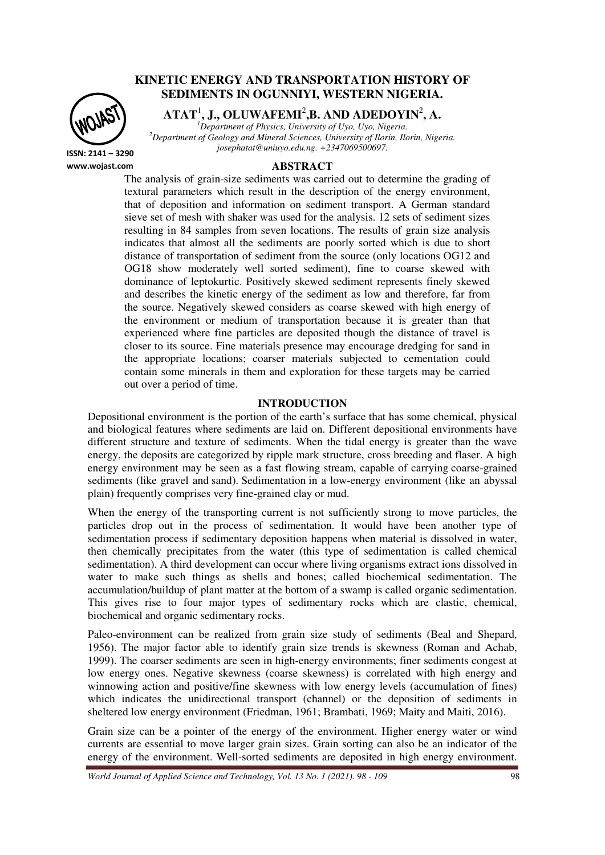

# **KINETIC ENERGY AND TRANSPORTATION HISTORY OF SEDIMENTS IN OGUNNIYI, WESTERN NIGERIA.**

**ATAT**<sup>1</sup> **, J., OLUWAFEMI**<sup>2</sup> **,B. AND ADEDOYIN**<sup>2</sup> **, A.** 

*<sup>1</sup>Department of Physics, University of Uyo, Uyo, Nigeria. <sup>2</sup>Department of Geology and Mineral Sciences, University of Ilorin, Ilorin, Nigeria. josephatat@uniuyo.edu.ng. +2347069500697.* 

**ISSN: 2141 – 3290 www.wojast.com**

## **ABSTRACT**

The analysis of grain-size sediments was carried out to determine the grading of textural parameters which result in the description of the energy environment, that of deposition and information on sediment transport. A German standard sieve set of mesh with shaker was used for the analysis. 12 sets of sediment sizes resulting in 84 samples from seven locations. The results of grain size analysis indicates that almost all the sediments are poorly sorted which is due to short distance of transportation of sediment from the source (only locations OG12 and OG18 show moderately well sorted sediment), fine to coarse skewed with dominance of leptokurtic. Positively skewed sediment represents finely skewed and describes the kinetic energy of the sediment as low and therefore, far from the source. Negatively skewed considers as coarse skewed with high energy of the environment or medium of transportation because it is greater than that experienced where fine particles are deposited though the distance of travel is closer to its source. Fine materials presence may encourage dredging for sand in the appropriate locations; coarser materials subjected to cementation could contain some minerals in them and exploration for these targets may be carried out over a period of time.

## **INTRODUCTION**

Depositional environment is the portion of the earth's surface that has some chemical, physical and biological features where sediments are laid on. Different depositional environments have different structure and texture of sediments. When the tidal energy is greater than the wave energy, the deposits are categorized by ripple mark structure, cross breeding and flaser. A high energy environment may be seen as a fast flowing stream, capable of carrying coarse-grained sediments (like gravel and sand). Sedimentation in a low-energy environment (like an abyssal plain) frequently comprises very fine-grained clay or mud.

When the energy of the transporting current is not sufficiently strong to move particles, the particles drop out in the process of sedimentation. It would have been another type of sedimentation process if sedimentary deposition happens when material is dissolved in water, then chemically precipitates from the water (this type of sedimentation is called chemical sedimentation). A third development can occur where living organisms extract ions dissolved in water to make such things as shells and bones; called biochemical sedimentation. The accumulation/buildup of plant matter at the bottom of a swamp is called organic sedimentation. This gives rise to four major types of sedimentary rocks which are clastic, chemical, biochemical and organic sedimentary rocks.

Paleo-environment can be realized from grain size study of sediments (Beal and Shepard, 1956). The major factor able to identify grain size trends is skewness (Roman and Achab, 1999). The coarser sediments are seen in high-energy environments; finer sediments congest at low energy ones. Negative skewness (coarse skewness) is correlated with high energy and winnowing action and positive/fine skewness with low energy levels (accumulation of fines) which indicates the unidirectional transport (channel) or the deposition of sediments in sheltered low energy environment (Friedman, 1961; Brambati, 1969; Maity and Maiti, 2016).

Grain size can be a pointer of the energy of the environment. Higher energy water or wind currents are essential to move larger grain sizes. Grain sorting can also be an indicator of the energy of the environment. Well-sorted sediments are deposited in high energy environment.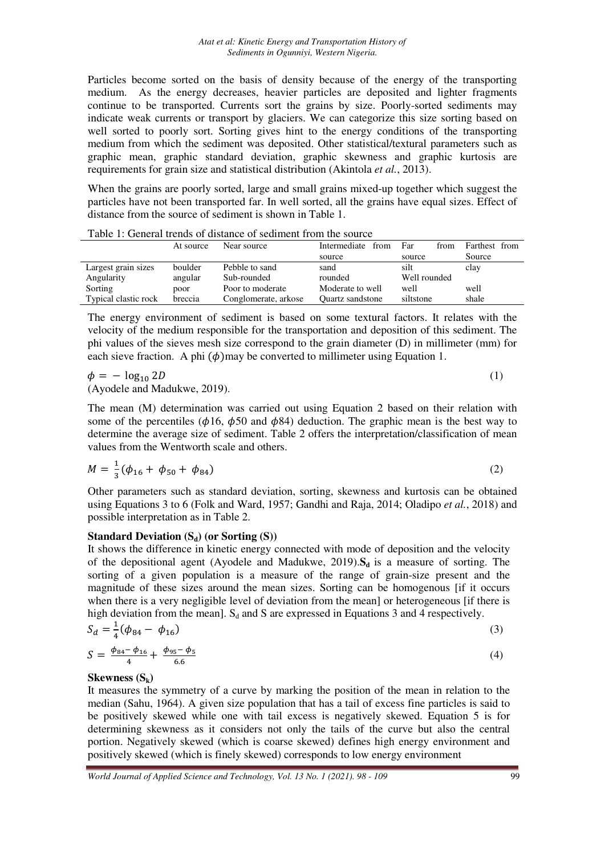Particles become sorted on the basis of density because of the energy of the transporting medium. As the energy decreases, heavier particles are deposited and lighter fragments continue to be transported. Currents sort the grains by size. Poorly-sorted sediments may indicate weak currents or transport by glaciers. We can categorize this size sorting based on well sorted to poorly sort. Sorting gives hint to the energy conditions of the transporting medium from which the sediment was deposited. Other statistical/textural parameters such as graphic mean, graphic standard deviation, graphic skewness and graphic kurtosis are requirements for grain size and statistical distribution (Akintola *et al.*, 2013).

When the grains are poorly sorted, large and small grains mixed-up together which suggest the particles have not been transported far. In well sorted, all the grains have equal sizes. Effect of distance from the source of sediment is shown in Table 1.

|                      | At source | Near source          | Intermediate from       | Far<br>from  | Farthest from |
|----------------------|-----------|----------------------|-------------------------|--------------|---------------|
|                      |           |                      | source                  | source       | Source        |
| Largest grain sizes  | boulder   | Pebble to sand       | sand                    | silt         | clay          |
| Angularity           | angular   | Sub-rounded          | rounded                 | Well rounded |               |
| Sorting              | poor      | Poor to moderate     | Moderate to well        | well         | well          |
| Typical clastic rock | breccia   | Conglomerate, arkose | <b>Ouartz sandstone</b> | siltstone    | shale         |

Table 1: General trends of distance of sediment from the source

The energy environment of sediment is based on some textural factors. It relates with the velocity of the medium responsible for the transportation and deposition of this sediment. The phi values of the sieves mesh size correspond to the grain diameter (D) in millimeter (mm) for each sieve fraction. A phi  $(\phi)$  may be converted to millimeter using Equation 1.

 $\phi = -\log_1$  $_0 2D$  (1) (Ayodele and Madukwe, 2019).

The mean (M) determination was carried out using Equation 2 based on their relation with some of the percentiles ( $\phi$ 16,  $\phi$ 50 and  $\phi$ 84) deduction. The graphic mean is the best way to determine the average size of sediment. Table 2 offers the interpretation/classification of mean values from the Wentworth scale and others.

$$
M = \frac{1}{3}(\phi_{16} + \phi_{50} + \phi_{84})
$$
 (2)

Other parameters such as standard deviation, sorting, skewness and kurtosis can be obtained using Equations 3 to 6 (Folk and Ward, 1957; Gandhi and Raja, 2014; Oladipo *et al.*, 2018) and possible interpretation as in Table 2.

## **Standard Deviation (Sd) (or Sorting (S))**

It shows the difference in kinetic energy connected with mode of deposition and the velocity of the depositional agent (Ayodele and Madukwe, 2019).**Sd** is a measure of sorting. The sorting of a given population is a measure of the range of grain-size present and the magnitude of these sizes around the mean sizes. Sorting can be homogenous [if it occurs when there is a very negligible level of deviation from the mean] or heterogeneous [if there is high deviation from the mean].  $S_d$  and S are expressed in Equations 3 and 4 respectively.

$$
S_d = \frac{1}{4}(\phi_{84} - \phi_{16})
$$
 (3)

$$
S = \frac{\phi_{84} - \phi_{16}}{4} + \frac{\phi_{95} - \phi_{5}}{6.6} \tag{4}
$$

## **Skewness (Sk)**

It measures the symmetry of a curve by marking the position of the mean in relation to the median (Sahu, 1964). A given size population that has a tail of excess fine particles is said to be positively skewed while one with tail excess is negatively skewed. Equation 5 is for determining skewness as it considers not only the tails of the curve but also the central portion. Negatively skewed (which is coarse skewed) defines high energy environment and positively skewed (which is finely skewed) corresponds to low energy environment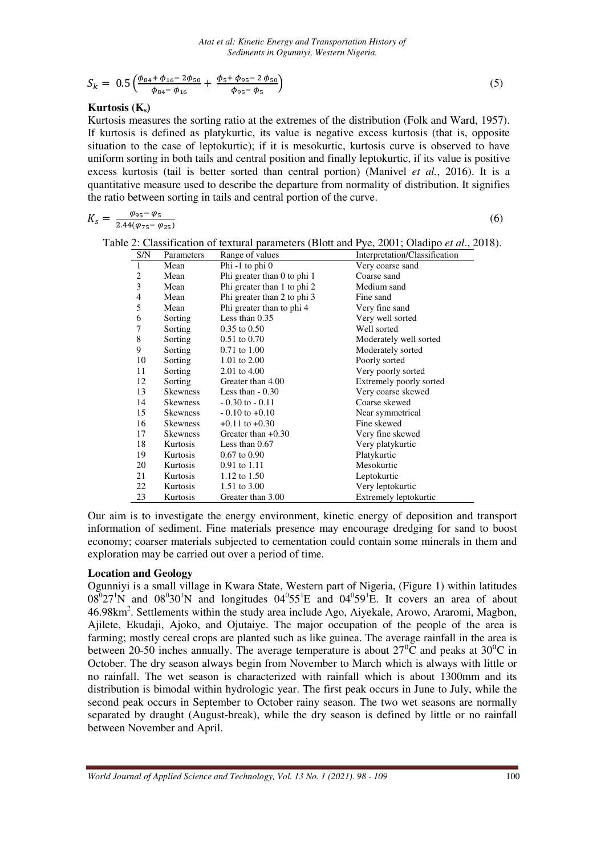$$
S_k = 0.5 \left( \frac{\phi_{84} + \phi_{16} - 2\phi_{50}}{\phi_{84} - \phi_{16}} + \frac{\phi_5 + \phi_{95} - 2\phi_{50}}{\phi_{95} - \phi_5} \right)
$$
(5)

## **Kurtosis (Ks)**

Kurtosis measures the sorting ratio at the extremes of the distribution (Folk and Ward, 1957). If kurtosis is defined as platykurtic, its value is negative excess kurtosis (that is, opposite situation to the case of leptokurtic); if it is mesokurtic, kurtosis curve is observed to have uniform sorting in both tails and central position and finally leptokurtic, if its value is positive excess kurtosis (tail is better sorted than central portion) (Manivel *et al.*, 2016). It is a quantitative measure used to describe the departure from normality of distribution. It signifies the ratio between sorting in tails and central portion of the curve.

$$
K_S = \frac{\varphi_{95} - \varphi_5}{2.44(\varphi_{75} - \varphi_{25})}
$$

 $(6)$ 

| S/N            | Parameters      | Range of values             | Interpretation/Classification |
|----------------|-----------------|-----------------------------|-------------------------------|
| $\mathbf{1}$   | Mean            | Phi $-1$ to phi $0$         | Very coarse sand              |
| $\overline{c}$ | Mean            | Phi greater than 0 to phi 1 | Coarse sand                   |
| 3              | Mean            | Phi greater than 1 to phi 2 | Medium sand                   |
| 4              | Mean            | Phi greater than 2 to phi 3 | Fine sand                     |
| 5              | Mean            | Phi greater than to phi 4   | Very fine sand                |
| 6              | Sorting         | Less than $0.35$            | Very well sorted              |
| 7              | Sorting         | $0.35$ to $0.50$            | Well sorted                   |
| 8              | Sorting         | $0.51$ to $0.70$            | Moderately well sorted        |
| 9              | Sorting         | $0.71$ to $1.00$            | Moderately sorted             |
| 10             | Sorting         | 1.01 to $2.00$              | Poorly sorted                 |
| 11             | Sorting         | 2.01 to 4.00                | Very poorly sorted            |
| 12             | Sorting         | Greater than 4.00           | Extremely poorly sorted       |
| 13             | <b>Skewness</b> | Less than $-0.30$           | Very coarse skewed            |
| 14             | <b>Skewness</b> | $-0.30$ to $-0.11$          | Coarse skewed                 |
| 15             | <b>Skewness</b> | $-0.10$ to $+0.10$          | Near symmetrical              |
| 16             | <b>Skewness</b> | $+0.11$ to $+0.30$          | Fine skewed                   |
| 17             | <b>Skewness</b> | Greater than $+0.30$        | Very fine skewed              |
| 18             | Kurtosis        | Less than $0.67$            | Very platykurtic              |
| 19             | Kurtosis        | $0.67$ to $0.90$            | Platykurtic                   |
| 20             | <b>Kurtosis</b> | $0.91$ to $1.11$            | Mesokurtic                    |
| 21             | Kurtosis        | 1.12 to $1.50$              | Leptokurtic                   |
| 22             | Kurtosis        | 1.51 to 3.00                | Very leptokurtic              |
| 23             | Kurtosis        | Greater than 3.00           | Extremely leptokurtic         |

Table 2: Classification of textural parameters (Blott and Pye, 2001; Oladipo *et al*., 2018).

Our aim is to investigate the energy environment, kinetic energy of deposition and transport information of sediment. Fine materials presence may encourage dredging for sand to boost economy; coarser materials subjected to cementation could contain some minerals in them and exploration may be carried out over a period of time.

## **Location and Geology**

Ogunniyi is a small village in Kwara State, Western part of Nigeria, (Figure 1) within latitudes  $08^0$ 27<sup>1</sup>N and  $08^0$ 30<sup>1</sup>N and longitudes  $04^0$ 55<sup>1</sup>E and  $04^0$ 59<sup>1</sup>E. It covers an area of about 46.98km<sup>2</sup>. Settlements within the study area include Ago, Aiyekale, Arowo, Araromi, Magbon, Ajilete, Ekudaji, Ajoko, and Ojutaiye. The major occupation of the people of the area is farming; mostly cereal crops are planted such as like guinea. The average rainfall in the area is between 20-50 inches annually. The average temperature is about  $27^{\circ}$ C and peaks at  $30^{\circ}$ C in October. The dry season always begin from November to March which is always with little or no rainfall. The wet season is characterized with rainfall which is about 1300mm and its distribution is bimodal within hydrologic year. The first peak occurs in June to July, while the second peak occurs in September to October rainy season. The two wet seasons are normally separated by draught (August-break), while the dry season is defined by little or no rainfall between November and April.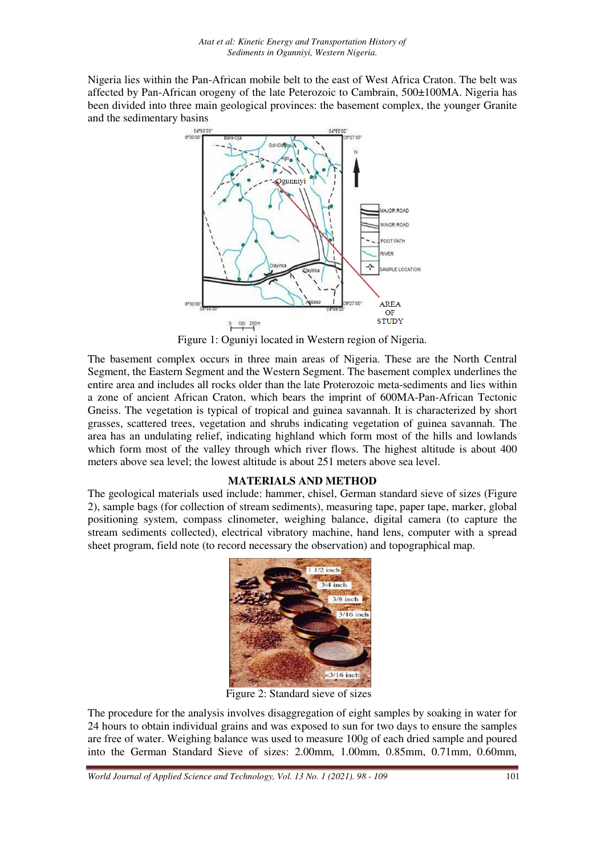Nigeria lies within the Pan-African mobile belt to the east of West Africa Craton. The belt was affected by Pan-African orogeny of the late Peterozoic to Cambrain, 500±100MA. Nigeria has been divided into three main geological provinces: the basement complex, the younger Granite and the sedimentary basins



Figure 1: Oguniyi located in Western region of Nigeria.

The basement complex occurs in three main areas of Nigeria. These are the North Central Segment, the Eastern Segment and the Western Segment. The basement complex underlines the entire area and includes all rocks older than the late Proterozoic meta-sediments and lies within a zone of ancient African Craton, which bears the imprint of 600MA-Pan-African Tectonic Gneiss. The vegetation is typical of tropical and guinea savannah. It is characterized by short grasses, scattered trees, vegetation and shrubs indicating vegetation of guinea savannah. The area has an undulating relief, indicating highland which form most of the hills and lowlands which form most of the valley through which river flows. The highest altitude is about 400 meters above sea level; the lowest altitude is about 251 meters above sea level.

### **MATERIALS AND METHOD**

The geological materials used include: hammer, chisel, German standard sieve of sizes (Figure 2), sample bags (for collection of stream sediments), measuring tape, paper tape, marker, global positioning system, compass clinometer, weighing balance, digital camera (to capture the stream sediments collected), electrical vibratory machine, hand lens, computer with a spread sheet program, field note (to record necessary the observation) and topographical map.



Figure 2: Standard sieve of sizes

The procedure for the analysis involves disaggregation of eight samples by soaking in water for 24 hours to obtain individual grains and was exposed to sun for two days to ensure the samples are free of water. Weighing balance was used to measure 100g of each dried sample and poured into the German Standard Sieve of sizes: 2.00mm, 1.00mm, 0.85mm, 0.71mm, 0.60mm,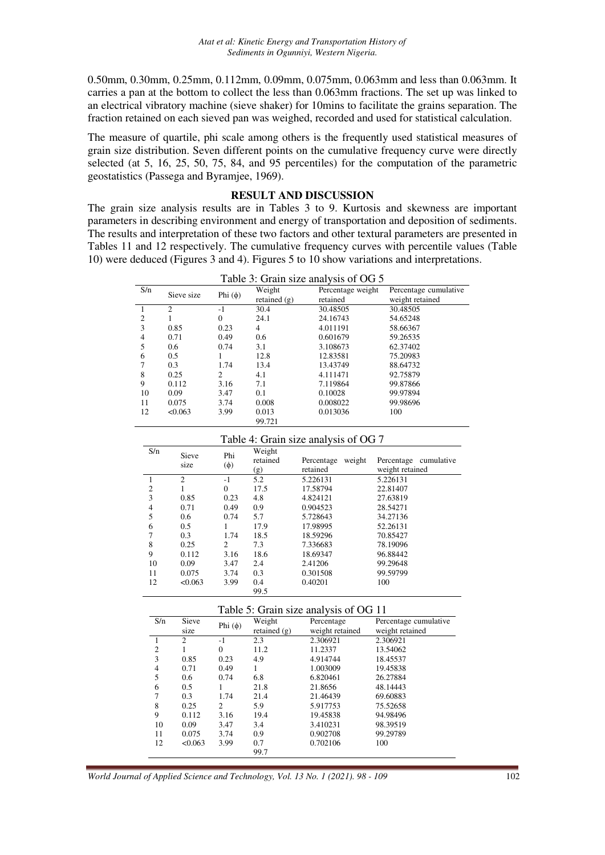0.50mm, 0.30mm, 0.25mm, 0.112mm, 0.09mm, 0.075mm, 0.063mm and less than 0.063mm. It carries a pan at the bottom to collect the less than 0.063mm fractions. The set up was linked to an electrical vibratory machine (sieve shaker) for 10mins to facilitate the grains separation. The fraction retained on each sieved pan was weighed, recorded and used for statistical calculation.

The measure of quartile, phi scale among others is the frequently used statistical measures of grain size distribution. Seven different points on the cumulative frequency curve were directly selected (at 5, 16, 25, 50, 75, 84, and 95 percentiles) for the computation of the parametric geostatistics (Passega and Byramjee, 1969).

# **RESULT AND DISCUSSION**

The grain size analysis results are in Tables 3 to 9. Kurtosis and skewness are important parameters in describing environment and energy of transportation and deposition of sediments. The results and interpretation of these two factors and other textural parameters are presented in Tables 11 and 12 respectively. The cumulative frequency curves with percentile values (Table 10) were deduced (Figures 3 and 4). Figures 5 to 10 show variations and interpretations.

|                | 1 able 3: Grain size analysis of OG 5 |              |                |                   |                       |  |
|----------------|---------------------------------------|--------------|----------------|-------------------|-----------------------|--|
| S/n            | Sieve size                            | Phi $(\phi)$ | Weight         | Percentage weight | Percentage cumulative |  |
|                |                                       |              | retained $(g)$ | retained          | weight retained       |  |
|                | 2                                     | $-1$         | 30.4           | 30.48505          | 30.48505              |  |
| $\overline{c}$ |                                       | $\Omega$     | 24.1           | 24.16743          | 54.65248              |  |
| 3              | 0.85                                  | 0.23         | 4              | 4.011191          | 58.66367              |  |
| 4              | 0.71                                  | 0.49         | 0.6            | 0.601679          | 59.26535              |  |
| 5              | 0.6                                   | 0.74         | 3.1            | 3.108673          | 62.37402              |  |
| 6              | 0.5                                   |              | 12.8           | 12.83581          | 75.20983              |  |
|                | 0.3                                   | 1.74         | 13.4           | 13.43749          | 88.64732              |  |
| 8              | 0.25                                  | 2            | 4.1            | 4.111471          | 92.75879              |  |
| 9              | 0.112                                 | 3.16         | 7.1            | 7.119864          | 99.87866              |  |
| 10             | 0.09                                  | 3.47         | 0.1            | 0.10028           | 99.97894              |  |
| 11             | 0.075                                 | 3.74         | 0.008          | 0.008022          | 99.98696              |  |
| 12             | < 0.063                               | 3.99         | 0.013          | 0.013036          | 100                   |  |
|                |                                       |              | 99.721         |                   |                       |  |

Table 3: Grain size analysis of OG 5

#### Table 4: Grain size analysis of OG 7

| S/n | Sieve<br>size  | Phi<br>$(\phi)$ | Weight<br>retained<br>(g) | weight<br>Percentage<br>retained | Percentage cumulative<br>weight retained |
|-----|----------------|-----------------|---------------------------|----------------------------------|------------------------------------------|
|     | $\overline{2}$ | $-1$            | 5.2                       | 5.226131                         | 5.226131                                 |
| 2   |                | $\theta$        | 17.5                      | 17.58794                         | 22.81407                                 |
| 3   | 0.85           | 0.23            | 4.8                       | 4.824121                         | 27.63819                                 |
| 4   | 0.71           | 0.49            | 0.9                       | 0.904523                         | 28.54271                                 |
| 5   | 0.6            | 0.74            | 5.7                       | 5.728643                         | 34.27136                                 |
| 6   | 0.5            |                 | 17.9                      | 17.98995                         | 52.26131                                 |
| 7   | 0.3            | 1.74            | 18.5                      | 18.59296                         | 70.85427                                 |
| 8   | 0.25           | $\overline{c}$  | 7.3                       | 7.336683                         | 78.19096                                 |
| 9   | 0.112          | 3.16            | 18.6                      | 18.69347                         | 96.88442                                 |
| 10  | 0.09           | 3.47            | 2.4                       | 2.41206                          | 99.29648                                 |
| 11  | 0.075          | 3.74            | 0.3                       | 0.301508                         | 99.59799                                 |
| 12  | < 0.063        | 3.99            | 0.4<br>99.5               | 0.40201                          | 100                                      |

Table 5: Grain size analysis of OG 11

| S/n            | Sieve   | Phi $(φ)$      | Weight         | Percentage      | Percentage cumulative |
|----------------|---------|----------------|----------------|-----------------|-----------------------|
|                | size    |                | retained $(g)$ | weight retained | weight retained       |
|                | 2       | $-1$           | 2.3            | 2.306921        | 2.306921              |
| $\overline{2}$ |         | $\theta$       | 11.2           | 11.2337         | 13.54062              |
| 3              | 0.85    | 0.23           | 4.9            | 4.914744        | 18.45537              |
| $\overline{4}$ | 0.71    | 0.49           | 1              | 1.003009        | 19.45838              |
| 5              | 0.6     | 0.74           | 6.8            | 6.820461        | 26.27884              |
| 6              | 0.5     |                | 21.8           | 21.8656         | 48.14443              |
|                | 0.3     | 1.74           | 21.4           | 21.46439        | 69.60883              |
| 8              | 0.25    | $\overline{c}$ | 5.9            | 5.917753        | 75.52658              |
| 9              | 0.112   | 3.16           | 19.4           | 19.45838        | 94.98496              |
| 10             | 0.09    | 3.47           | 3.4            | 3.410231        | 98.39519              |
| 11             | 0.075   | 3.74           | 0.9            | 0.902708        | 99.29789              |
| 12             | < 0.063 | 3.99           | 0.7            | 0.702106        | 100                   |
|                |         |                | 99.7           |                 |                       |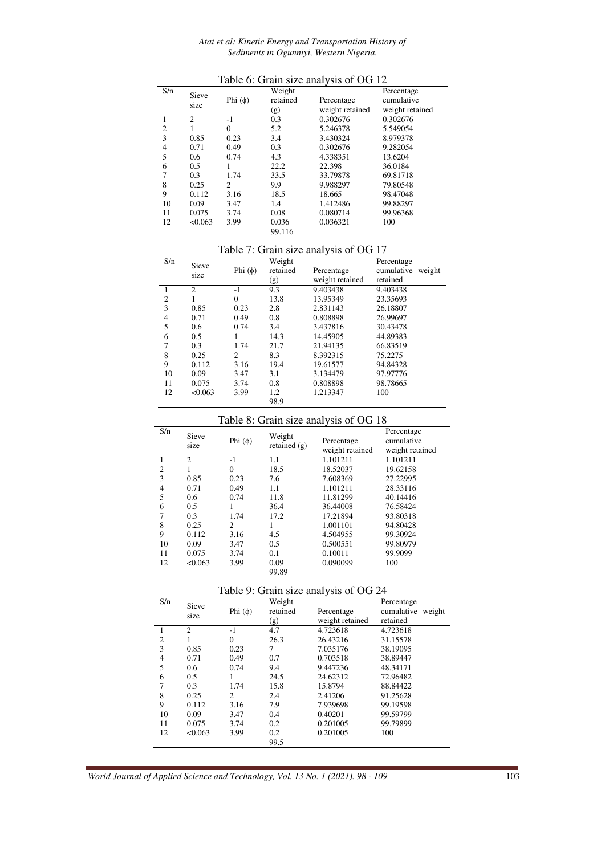#### *Atat et al: Kinetic Energy and Transportation History of Sediments in Ogunniyi, Western Nigeria.*

| S/n            | Sieve          |              | Weight   |                 | Percentage      |
|----------------|----------------|--------------|----------|-----------------|-----------------|
|                | size           | Phi $(\phi)$ | retained | Percentage      | cumulative      |
|                |                |              | (g)      | weight retained | weight retained |
|                | $\overline{c}$ | $-1$         | 0.3      | 0.302676        | 0.302676        |
| $\overline{2}$ |                | $\Omega$     | 5.2      | 5.246378        | 5.549054        |
| 3              | 0.85           | 0.23         | 3.4      | 3.430324        | 8.979378        |
| 4              | 0.71           | 0.49         | 0.3      | 0.302676        | 9.282054        |
| 5              | 0.6            | 0.74         | 4.3      | 4.338351        | 13.6204         |
| 6              | 0.5            |              | 22.2     | 22.398          | 36.0184         |
|                | 0.3            | 1.74         | 33.5     | 33.79878        | 69.81718        |
| 8              | 0.25           | 2            | 9.9      | 9.988297        | 79.80548        |
| 9              | 0.112          | 3.16         | 18.5     | 18.665          | 98.47048        |
| 10             | 0.09           | 3.47         | 1.4      | 1.412486        | 99.88297        |
| 11             | 0.075          | 3.74         | 0.08     | 0.080714        | 99.96368        |
| 12             | < 0.063        | 3.99         | 0.036    | 0.036321        | 100             |
|                |                |              | 99.116   |                 |                 |

Table 6: Grain size analysis of OG 12

|                | Table 7: Grain size analysis of OG 17 |              |          |                 |                      |  |  |
|----------------|---------------------------------------|--------------|----------|-----------------|----------------------|--|--|
| S/n            | Sieve                                 |              | Weight   |                 | Percentage           |  |  |
|                | size                                  | Phi $(\phi)$ | retained | Percentage      | cumulative<br>weight |  |  |
|                |                                       |              | (g)      | weight retained | retained             |  |  |
|                | $\mathcal{D}_{\mathcal{L}}$           | $-1$         | 9.3      | 9.403438        | 9.403438             |  |  |
| 2              |                                       | $\Omega$     | 13.8     | 13.95349        | 23.35693             |  |  |
| 3              | 0.85                                  | 0.23         | 2.8      | 2.831143        | 26.18807             |  |  |
| $\overline{4}$ | 0.71                                  | 0.49         | 0.8      | 0.808898        | 26.99697             |  |  |
| 5              | 0.6                                   | 0.74         | 3.4      | 3.437816        | 30.43478             |  |  |
| 6              | 0.5                                   |              | 14.3     | 14.45905        | 44.89383             |  |  |
| 7              | 0.3                                   | 1.74         | 21.7     | 21.94135        | 66.83519             |  |  |
| 8              | 0.25                                  | 2            | 8.3      | 8.392315        | 75.2275              |  |  |
| 9              | 0.112                                 | 3.16         | 19.4     | 19.61577        | 94.84328             |  |  |
| 10             | 0.09                                  | 3.47         | 3.1      | 3.134479        | 97.97776             |  |  |
| 11             | 0.075                                 | 3.74         | 0.8      | 0.808898        | 98.78665             |  |  |
| 12             | < 0.063                               | 3.99         | 1.2      | 1.213347        | 100                  |  |  |
|                |                                       |              | 98.9     |                 |                      |  |  |

## Table 8: Grain size analysis of OG 18

| S/n            |                             |              |                          | Table 0. Orain size and you of OO To | Percentage      |
|----------------|-----------------------------|--------------|--------------------------|--------------------------------------|-----------------|
|                | Sieve<br>size               | Phi $(\phi)$ | Weight<br>retained $(g)$ | Percentage                           | cumulative      |
|                |                             |              |                          | weight retained                      | weight retained |
|                | $\mathcal{D}_{\mathcal{L}}$ | $-1$         | 1.1                      | 1.101211                             | 1.101211        |
| $\overline{2}$ |                             | $\Omega$     | 18.5                     | 18.52037                             | 19.62158        |
| 3              | 0.85                        | 0.23         | 7.6                      | 7.608369                             | 27.22995        |
| $\overline{4}$ | 0.71                        | 0.49         | 1.1                      | 1.101211                             | 28.33116        |
| 5              | 0.6                         | 0.74         | 11.8                     | 11.81299                             | 40.14416        |
| 6              | 0.5                         |              | 36.4                     | 36.44008                             | 76.58424        |
| 7              | 0.3                         | 1.74         | 17.2                     | 17.21894                             | 93.80318        |
| 8              | 0.25                        | 2            | 1                        | 1.001101                             | 94.80428        |
| 9              | 0.112                       | 3.16         | 4.5                      | 4.504955                             | 99.30924        |
| 10             | 0.09                        | 3.47         | 0.5                      | 0.500551                             | 99.80979        |
| 11             | 0.075                       | 3.74         | 0.1                      | 0.10011                              | 99.9099         |
| 12             | < 0.063                     | 3.99         | 0.09<br>99.89            | 0.090099                             | 100             |

Table 9: Grain size analysis of OG 24

| S/n            | Sieve          |           | Weight   |                 | Percentage           |
|----------------|----------------|-----------|----------|-----------------|----------------------|
|                | size           | Phi $(φ)$ | retained | Percentage      | cumulative<br>weight |
|                |                |           | (g)      | weight retained | retained             |
|                | $\overline{c}$ | $-1$      | 4.7      | 4.723618        | 4.723618             |
| $\overline{2}$ |                | $\Omega$  | 26.3     | 26.43216        | 31.15578             |
| 3              | 0.85           | 0.23      | 7        | 7.035176        | 38.19095             |
| $\overline{4}$ | 0.71           | 0.49      | 0.7      | 0.703518        | 38.89447             |
| 5              | 0.6            | 0.74      | 9.4      | 9.447236        | 48.34171             |
| 6              | 0.5            |           | 24.5     | 24.62312        | 72.96482             |
| 7              | 0.3            | 1.74      | 15.8     | 15.8794         | 88.84422             |
| 8              | 0.25           | 2         | 2.4      | 2.41206         | 91.25628             |
| 9              | 0.112          | 3.16      | 7.9      | 7.939698        | 99.19598             |
| 10             | 0.09           | 3.47      | 0.4      | 0.40201         | 99.59799             |
| 11             | 0.075          | 3.74      | 0.2      | 0.201005        | 99.79899             |
| 12             | < 0.063        | 3.99      | 0.2      | 0.201005        | 100                  |
|                |                |           | 99.5     |                 |                      |
|                |                |           |          |                 |                      |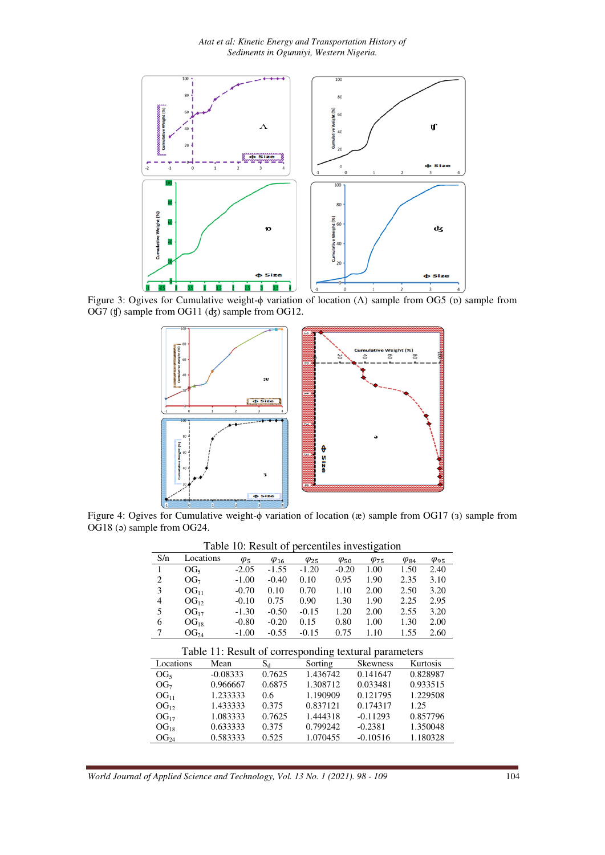

Figure 3: Ogives for Cumulative weight-ϕ variation of location (Λ) sample from OG5 (ɒ) sample from OG7 (ʧ) sample from OG11 (ʤ) sample from OG12.



Figure 4: Ogives for Cumulative weight-ϕ variation of location (æ) sample from OG17 (ɜ) sample from OG18 (ə) sample from OG24.

|                  | racio 10. Result of percentifies investigation |                                                       |                            |                |                |                 |                            |                |
|------------------|------------------------------------------------|-------------------------------------------------------|----------------------------|----------------|----------------|-----------------|----------------------------|----------------|
| S/n              | Locations                                      | $\varphi_5$                                           | $\underline{\varphi_{16}}$ | $\varphi_{25}$ | $\varphi_{50}$ | $\varphi_{75}$  | $\varphi_{\underline{84}}$ | $\varphi_{95}$ |
| 1                | OG <sub>5</sub>                                | $-2.05$                                               | $-1.55$                    | $-1.20$        | $-0.20$        | 1.00            | 1.50                       | 2.40           |
| 2                | OG <sub>7</sub>                                | $-1.00$                                               | $-0.40$                    | 0.10           | 0.95           | 1.90            | 2.35                       | 3.10           |
| 3                | OG <sub>11</sub>                               | $-0.70$                                               | 0.10                       | 0.70           | 1.10           | 2.00            | 2.50                       | 3.20           |
| 4                | $OG_{12}$                                      | $-0.10$                                               | 0.75                       | 0.90           | 1.30           | 1.90            | 2.25                       | 2.95           |
| 5                | $OG_{17}$                                      | $-1.30$                                               | $-0.50$                    | $-0.15$        | 1.20           | 2.00            | 2.55                       | 3.20           |
| 6                | $OG_{18}$                                      | $-0.80$                                               | $-0.20$                    | 0.15           | 0.80           | 1.00            | 1.30                       | 2.00           |
| 7                | OG <sub>24</sub>                               | $-1.00$                                               | $-0.55$                    | $-0.15$        | 0.75           | 1.10            | 1.55                       | 2.60           |
|                  |                                                | Table 11: Result of corresponding textural parameters |                            |                |                |                 |                            |                |
|                  |                                                |                                                       |                            |                |                |                 |                            |                |
| Locations        |                                                | Mean                                                  | $S_d$                      | Sorting        |                | <b>Skewness</b> |                            | Kurtosis       |
| OG <sub>5</sub>  |                                                | $-0.08333$                                            | 0.7625                     | 1.436742       |                | 0.141647        |                            | 0.828987       |
| OG <sub>7</sub>  |                                                | 0.966667                                              | 0.6875                     | 1.308712       |                | 0.033481        |                            | 0.933515       |
| OG <sub>11</sub> |                                                | 1.233333                                              | 0.6                        | 1.190909       |                | 0.121795        |                            | 1.229508       |
| $OG_{12}$        |                                                | 1.433333                                              | 0.375                      | 0.837121       |                | 0.174317        | 1.25                       |                |
| $OG_{17}$        |                                                | 1.083333                                              | 0.7625                     | 1.444318       |                | $-0.11293$      |                            | 0.857796       |

 $\overline{\text{OG}}_{18}$  0.633333 0.375 0.799242 -0.2381 1.350048<br>  $\overline{\text{OG}}_{24}$  0.583333 0.525 1.070455 -0.10516 1.180328

Table 10: Result of percentiles investigation

1.180328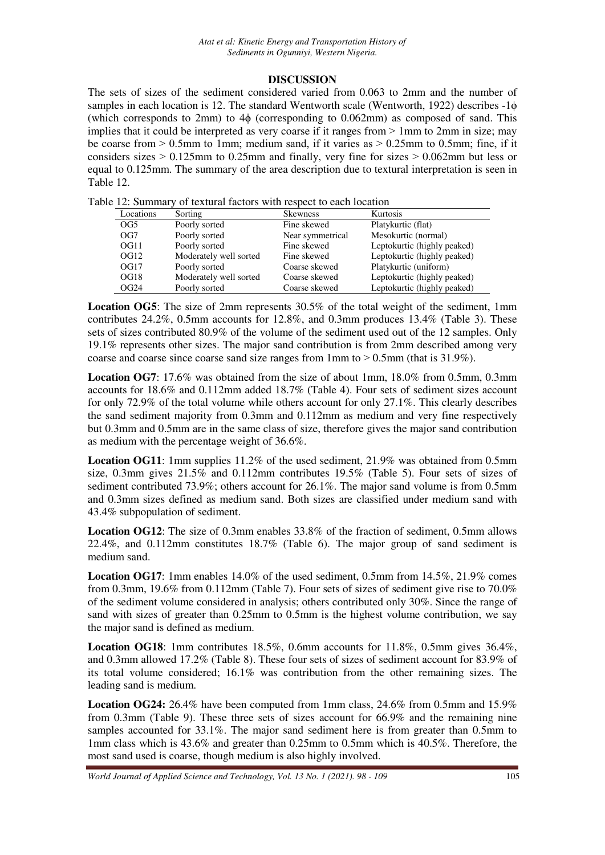## **DISCUSSION**

The sets of sizes of the sediment considered varied from 0.063 to 2mm and the number of samples in each location is 12. The standard Wentworth scale (Wentworth, 1922) describes -1 $\phi$ (which corresponds to 2mm) to 4ϕ (corresponding to 0.062mm) as composed of sand. This implies that it could be interpreted as very coarse if it ranges from  $> 1$ mm to 2mm in size; may be coarse from  $> 0.5$ mm to 1mm; medium sand, if it varies as  $> 0.25$ mm to 0.5mm; fine, if it considers sizes  $> 0.125$ mm to 0.25mm and finally, very fine for sizes  $> 0.062$ mm but less or equal to 0.125mm. The summary of the area description due to textural interpretation is seen in Table 12.

Table 12: Summary of textural factors with respect to each location

| Locations        | Sorting                | <b>Skewness</b>  | Kurtosis                    |
|------------------|------------------------|------------------|-----------------------------|
| OG <sub>5</sub>  | Poorly sorted          | Fine skewed      | Platykurtic (flat)          |
| OG7              | Poorly sorted          | Near symmetrical | Mesokurtic (normal)         |
| OG11             | Poorly sorted          | Fine skewed      | Leptokurtic (highly peaked) |
| OG <sub>12</sub> | Moderately well sorted | Fine skewed      | Leptokurtic (highly peaked) |
| OG17             | Poorly sorted          | Coarse skewed    | Platykurtic (uniform)       |
| OG18             | Moderately well sorted | Coarse skewed    | Leptokurtic (highly peaked) |
| OG24             | Poorly sorted          | Coarse skewed    | Leptokurtic (highly peaked) |

**Location OG5**: The size of 2mm represents 30.5% of the total weight of the sediment, 1mm contributes 24.2%, 0.5mm accounts for 12.8%, and 0.3mm produces 13.4% (Table 3). These sets of sizes contributed 80.9% of the volume of the sediment used out of the 12 samples. Only 19.1% represents other sizes. The major sand contribution is from 2mm described among very coarse and coarse since coarse sand size ranges from 1mm to  $> 0.5$ mm (that is 31.9%).

**Location OG7**: 17.6% was obtained from the size of about 1mm, 18.0% from 0.5mm, 0.3mm accounts for 18.6% and 0.112mm added 18.7% (Table 4). Four sets of sediment sizes account for only 72.9% of the total volume while others account for only 27.1%. This clearly describes the sand sediment majority from 0.3mm and 0.112mm as medium and very fine respectively but 0.3mm and 0.5mm are in the same class of size, therefore gives the major sand contribution as medium with the percentage weight of 36.6%.

**Location OG11**: 1mm supplies 11.2% of the used sediment, 21.9% was obtained from 0.5mm size, 0.3mm gives 21.5% and 0.112mm contributes 19.5% (Table 5). Four sets of sizes of sediment contributed 73.9%; others account for 26.1%. The major sand volume is from 0.5mm and 0.3mm sizes defined as medium sand. Both sizes are classified under medium sand with 43.4% subpopulation of sediment.

**Location OG12**: The size of 0.3mm enables 33.8% of the fraction of sediment, 0.5mm allows 22.4%, and 0.112mm constitutes 18.7% (Table 6). The major group of sand sediment is medium sand.

**Location OG17**: 1mm enables 14.0% of the used sediment, 0.5mm from 14.5%, 21.9% comes from 0.3mm, 19.6% from 0.112mm (Table 7). Four sets of sizes of sediment give rise to 70.0% of the sediment volume considered in analysis; others contributed only 30%. Since the range of sand with sizes of greater than 0.25mm to 0.5mm is the highest volume contribution, we say the major sand is defined as medium.

**Location OG18**: 1mm contributes 18.5%, 0.6mm accounts for 11.8%, 0.5mm gives 36.4%, and 0.3mm allowed 17.2% (Table 8). These four sets of sizes of sediment account for 83.9% of its total volume considered; 16.1% was contribution from the other remaining sizes. The leading sand is medium.

**Location OG24:** 26.4% have been computed from 1mm class, 24.6% from 0.5mm and 15.9% from 0.3mm (Table 9). These three sets of sizes account for 66.9% and the remaining nine samples accounted for 33.1%. The major sand sediment here is from greater than 0.5mm to 1mm class which is 43.6% and greater than 0.25mm to 0.5mm which is 40.5%. Therefore, the most sand used is coarse, though medium is also highly involved.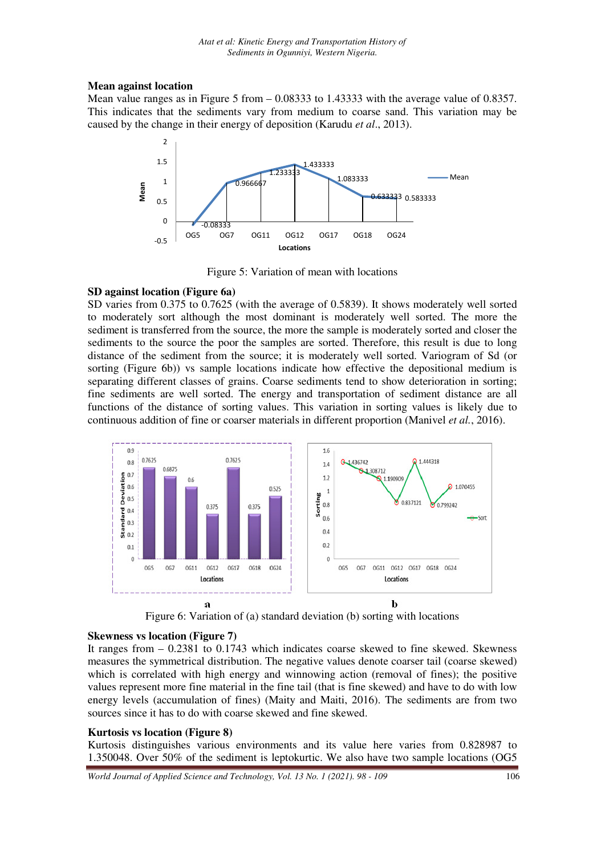### **Mean against location**

Mean value ranges as in Figure 5 from – 0.08333 to 1.43333 with the average value of 0.8357. This indicates that the sediments vary from medium to coarse sand. This variation may be caused by the change in their energy of deposition (Karudu *et al*., 2013).



Figure 5: Variation of mean with locations

### **SD against location (Figure 6a)**

SD varies from 0.375 to 0.7625 (with the average of 0.5839). It shows moderately well sorted to moderately sort although the most dominant is moderately well sorted. The more the sediment is transferred from the source, the more the sample is moderately sorted and closer the sediments to the source the poor the samples are sorted. Therefore, this result is due to long distance of the sediment from the source; it is moderately well sorted. Variogram of Sd (or sorting (Figure 6b)) vs sample locations indicate how effective the depositional medium is separating different classes of grains. Coarse sediments tend to show deterioration in sorting; fine sediments are well sorted. The energy and transportation of sediment distance are all functions of the distance of sorting values. This variation in sorting values is likely due to continuous addition of fine or coarser materials in different proportion (Manivel *et al.*, 2016).



Figure 6: Variation of (a) standard deviation (b) sorting with locations

### **Skewness vs location (Figure 7)**

It ranges from – 0.2381 to 0.1743 which indicates coarse skewed to fine skewed. Skewness measures the symmetrical distribution. The negative values denote coarser tail (coarse skewed) which is correlated with high energy and winnowing action (removal of fines); the positive values represent more fine material in the fine tail (that is fine skewed) and have to do with low energy levels (accumulation of fines) (Maity and Maiti, 2016). The sediments are from two sources since it has to do with coarse skewed and fine skewed.

### **Kurtosis vs location (Figure 8)**

Kurtosis distinguishes various environments and its value here varies from 0.828987 to 1.350048. Over 50% of the sediment is leptokurtic. We also have two sample locations (OG5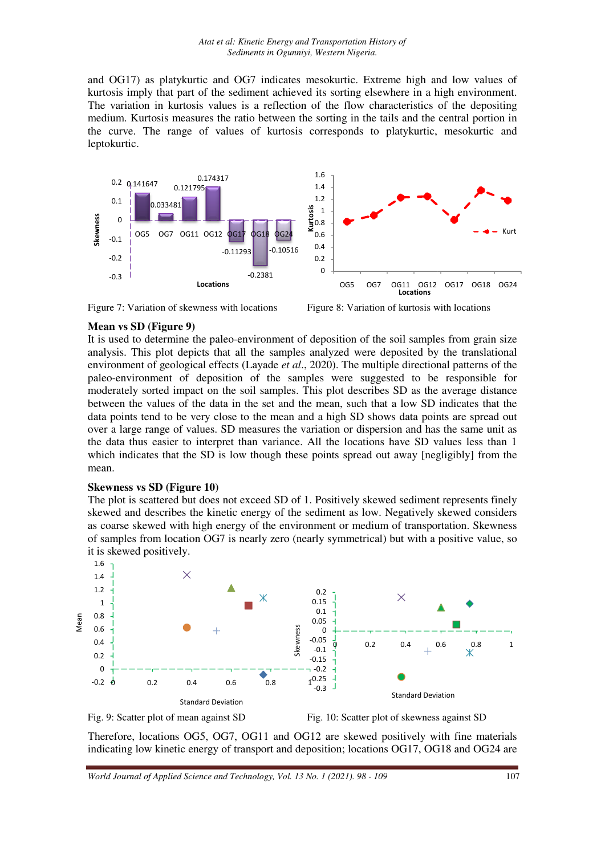and OG17) as platykurtic and OG7 indicates mesokurtic. Extreme high and low values of kurtosis imply that part of the sediment achieved its sorting elsewhere in a high environment. The variation in kurtosis values is a reflection of the flow characteristics of the depositing medium. Kurtosis measures the ratio between the sorting in the tails and the central portion in the curve. The range of values of kurtosis corresponds to platykurtic, mesokurtic and leptokurtic.





Figure 8: Variation of kurtosis with locations

## **Mean vs SD (Figure 9)**

It is used to determine the paleo-environment of deposition of the soil samples from grain size analysis. This plot depicts that all the samples analyzed were deposited by the translational environment of geological effects (Layade *et al*., 2020). The multiple directional patterns of the paleo-environment of deposition of the samples were suggested to be responsible for paleo-environment of deposition of the samples were suggested to be responsible for moderately sorted impact on the soil samples. This plot describes SD as the average distance between the values of the data in the set and the mean, such that a low SD indicates that the data points tend to be very close to the mean and a high SD shows data points are spread out over a large range of values. SD measures the variation or dispersion and has the same unit as the data thus easier to interpret than variance. All the locations have SD value which indicates that the SD is low though these points spread out away [negligibly] from the mean. environment of deposition of the soil samples from grain size<br>all the samples analyzed were deposited by the translational<br>is (Layade *et al.*, 2020). The multiple directional patterns of the<br>n of the samples were suggest

### **Skewness vs SD (Figure 10)**

The plot is scattered but does not exceed SD of 1. Positively skewed sediment represents finely skewed and describes the kinetic energy of the sediment as low. Negatively skewed considers as coarse skewed with high energy of the environment or medium of transportation. Skewness of samples from location OG7 is nearly zero (nearly symmetrical) but with a positive value, so it is skewed positively.



Fig. 9: Scatter plot of mean against SD

SD Fig. 10: Scatter plot of skewness against SD

Therefore, locations OG5, OG7, OG11 and OG12 are skewed positively with fine materials indicating low kinetic energy of transport and deposition; locations OG17, OG18 and OG24 are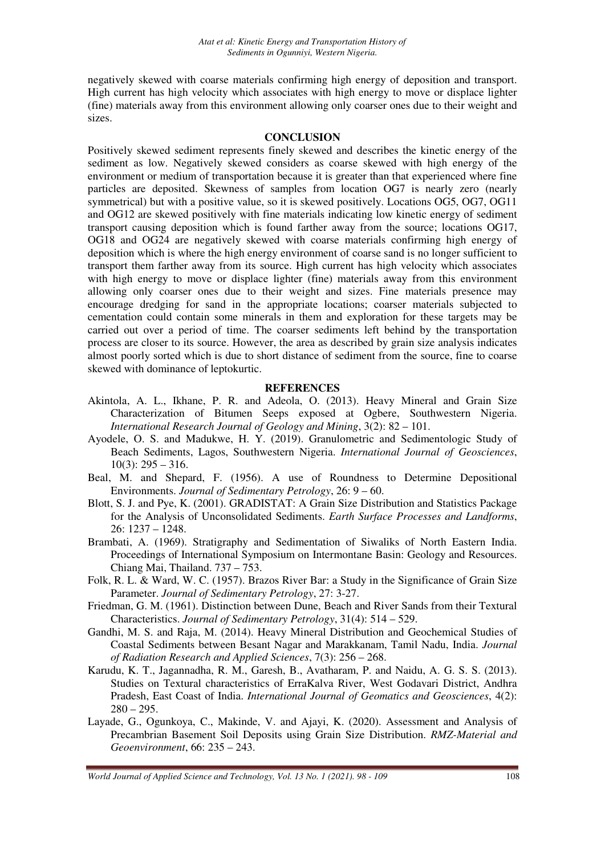negatively skewed with coarse materials confirming high energy of deposition and transport. High current has high velocity which associates with high energy to move or displace lighter (fine) materials away from this environment allowing only coarser ones due to their weight and sizes.

#### **CONCLUSION**

Positively skewed sediment represents finely skewed and describes the kinetic energy of the sediment as low. Negatively skewed considers as coarse skewed with high energy of the environment or medium of transportation because it is greater than that experienced where fine particles are deposited. Skewness of samples from location OG7 is nearly zero (nearly symmetrical) but with a positive value, so it is skewed positively. Locations OG5, OG7, OG11 and OG12 are skewed positively with fine materials indicating low kinetic energy of sediment transport causing deposition which is found farther away from the source; locations OG17, OG18 and OG24 are negatively skewed with coarse materials confirming high energy of deposition which is where the high energy environment of coarse sand is no longer sufficient to transport them farther away from its source. High current has high velocity which associates with high energy to move or displace lighter (fine) materials away from this environment allowing only coarser ones due to their weight and sizes. Fine materials presence may encourage dredging for sand in the appropriate locations; coarser materials subjected to cementation could contain some minerals in them and exploration for these targets may be carried out over a period of time. The coarser sediments left behind by the transportation process are closer to its source. However, the area as described by grain size analysis indicates almost poorly sorted which is due to short distance of sediment from the source, fine to coarse skewed with dominance of leptokurtic.

#### **REFERENCES**

- Akintola, A. L., Ikhane, P. R. and Adeola, O. (2013). Heavy Mineral and Grain Size Characterization of Bitumen Seeps exposed at Ogbere, Southwestern Nigeria. *International Research Journal of Geology and Mining*, 3(2): 82 – 101.
- Ayodele, O. S. and Madukwe, H. Y. (2019). Granulometric and Sedimentologic Study of Beach Sediments, Lagos, Southwestern Nigeria. *International Journal of Geosciences*,  $10(3)$ : 295 – 316.
- Beal, M. and Shepard, F. (1956). A use of Roundness to Determine Depositional Environments. *Journal of Sedimentary Petrology*, 26: 9 – 60.
- Blott, S. J. and Pye, K. (2001). GRADISTAT: A Grain Size Distribution and Statistics Package for the Analysis of Unconsolidated Sediments. *Earth Surface Processes and Landforms*, 26: 1237 – 1248.
- Brambati, A. (1969). Stratigraphy and Sedimentation of Siwaliks of North Eastern India. Proceedings of International Symposium on Intermontane Basin: Geology and Resources. Chiang Mai, Thailand. 737 – 753.
- Folk, R. L. & Ward, W. C. (1957). Brazos River Bar: a Study in the Significance of Grain Size Parameter. *Journal of Sedimentary Petrology*, 27: 3-27.
- Friedman, G. M. (1961). Distinction between Dune, Beach and River Sands from their Textural Characteristics. *Journal of Sedimentary Petrology*, 31(4): 514 – 529.
- Gandhi, M. S. and Raja, M. (2014). Heavy Mineral Distribution and Geochemical Studies of Coastal Sediments between Besant Nagar and Marakkanam, Tamil Nadu, India. *Journal of Radiation Research and Applied Sciences*, 7(3): 256 – 268.
- Karudu, K. T., Jagannadha, R. M., Garesh, B., Avatharam, P. and Naidu, A. G. S. S. (2013). Studies on Textural characteristics of ErraKalva River, West Godavari District, Andhra Pradesh, East Coast of India. *International Journal of Geomatics and Geosciences*, 4(2):  $280 - 295.$
- Layade, G., Ogunkoya, C., Makinde, V. and Ajayi, K. (2020). Assessment and Analysis of Precambrian Basement Soil Deposits using Grain Size Distribution. *RMZ-Material and Geoenvironment*, 66: 235 – 243.